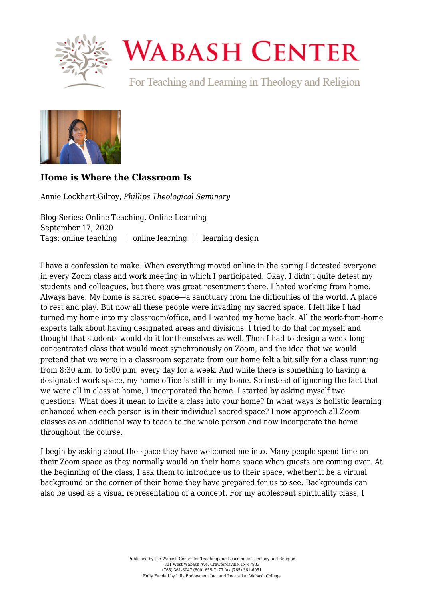

## **WABASH CENTER**

For Teaching and Learning in Theology and Religion



## **[Home is Where the Classroom Is](https://www.wabashcenter.wabash.edu/2020/09/how-is-where-the-classroom-is/)**

Annie Lockhart-Gilroy, *Phillips Theological Seminary*

Blog Series: Online Teaching, Online Learning September 17, 2020 Tags: online teaching | online learning | learning design

I have a confession to make. When everything moved online in the spring I detested everyone in every Zoom class and work meeting in which I participated. Okay, I didn't quite detest my students and colleagues, but there was great resentment there. I hated working from home. Always have. My home is sacred space—a sanctuary from the difficulties of the world. A place to rest and play. But now all these people were invading my sacred space. I felt like I had turned my home into my classroom/office, and I wanted my home back. All the work-from-home experts talk about having designated areas and divisions. I tried to do that for myself and thought that students would do it for themselves as well. Then I had to design a week-long concentrated class that would meet synchronously on Zoom, and the idea that we would pretend that we were in a classroom separate from our home felt a bit silly for a class running from 8:30 a.m. to 5:00 p.m. every day for a week. And while there is something to having a designated work space, my home office is still in my home. So instead of ignoring the fact that we were all in class at home, I incorporated the home. I started by asking myself two questions: What does it mean to invite a class into your home? In what ways is holistic learning enhanced when each person is in their individual sacred space? I now approach all Zoom classes as an additional way to teach to the whole person and now incorporate the home throughout the course.

I begin by asking about the space they have welcomed me into. Many people spend time on their Zoom space as they normally would on their home space when guests are coming over. At the beginning of the class, I ask them to introduce us to their space, whether it be a virtual background or the corner of their home they have prepared for us to see. Backgrounds can also be used as a visual representation of a concept. For my adolescent spirituality class, I